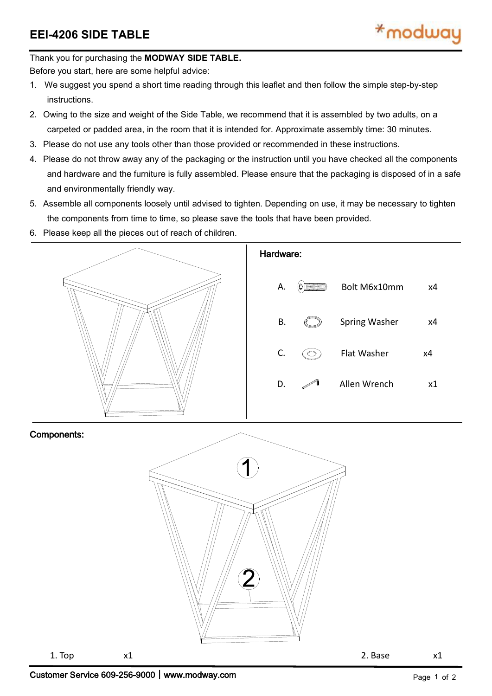## Thank you for purchasing the **MODWAY SIDE TABLE.**

Before you start, here are some helpful advice:

- 1. We suggest you spend a short time reading through this leaflet and then follow the simple step-by-step instructions.
- 2. Owing to the size and weight of the Side Table, we recommend that it is assembled by two adults, on a carpeted or padded area, in the room that it is intended for. Approximate assembly time: 30 minutes.
- 3. Please do not use any tools other than those provided or recommended in these instructions.
- 4. Please do not throw away any of the packaging or the instruction until you have checked all the components and hardware and the furniture is fully assembled. Please ensure that the packaging is disposed of in a safe and environmentally friendly way.
- 5. Assemble all components loosely until advised to tighten. Depending on use, it may be necessary to tighten the components from time to time, so please save the tools that have been provided.
- 6. Please keep all the pieces out of reach of children.



## Components: